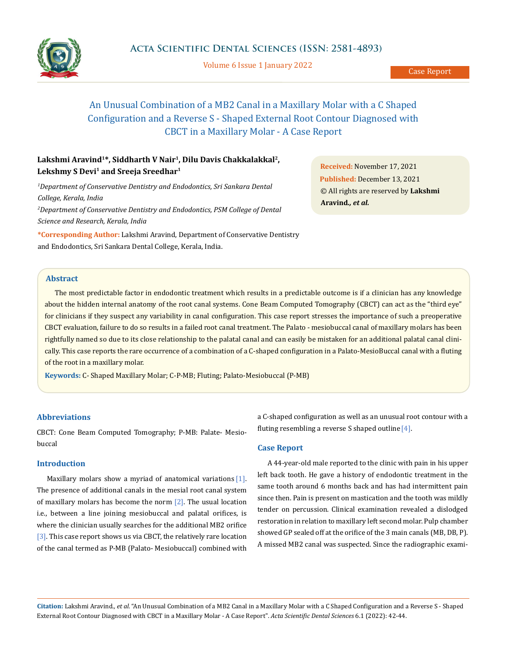

Volume 6 Issue 1 January 2022

# An Unusual Combination of a MB2 Canal in a Maxillary Molar with a C Shaped Configuration and a Reverse S - Shaped External Root Contour Diagnosed with CBCT in a Maxillary Molar - A Case Report

## Lakshmi Aravind<sup>1\*</sup>, Siddharth V Nair<sup>1</sup>, Dilu Davis Chakkalakkal<sup>2</sup>, **Lekshmy S Devi1 and Sreeja Sreedhar1**

<sup>1</sup>Department of Conservative Dentistry and Endodontics, Sri Sankara Dental *College, Kerala, India 2 Department of Conservative Dentistry and Endodontics, PSM College of Dental Science and Research, Kerala, India*

**\*Corresponding Author:** Lakshmi Aravind, Department of Conservative Dentistry and Endodontics, Sri Sankara Dental College, Kerala, India.

**Received:** November 17, 2021 **Published:** December 13, 2021 © All rights are reserved by **Lakshmi Aravind***., et al.*

## **Abstract**

The most predictable factor in endodontic treatment which results in a predictable outcome is if a clinician has any knowledge about the hidden internal anatomy of the root canal systems. Cone Beam Computed Tomography (CBCT) can act as the "third eye" for clinicians if they suspect any variability in canal configuration. This case report stresses the importance of such a preoperative CBCT evaluation, failure to do so results in a failed root canal treatment. The Palato - mesiobuccal canal of maxillary molars has been rightfully named so due to its close relationship to the palatal canal and can easily be mistaken for an additional palatal canal clinically. This case reports the rare occurrence of a combination of a C-shaped configuration in a Palato-MesioBuccal canal with a fluting of the root in a maxillary molar.

**Keywords:** C- Shaped Maxillary Molar; C-P-MB; Fluting; Palato-Mesiobuccal (P-MB)

### **Abbreviations**

CBCT: Cone Beam Computed Tomography; P-MB: Palate- Mesiobuccal

## **Introduction**

Maxillary molars show a myriad of anatomical variations [1]. The presence of additional canals in the mesial root canal system of maxillary molars has become the norm  $[2]$ . The usual location i.e., between a line joining mesiobuccal and palatal orifices, is where the clinician usually searches for the additional MB2 orifice [3]. This case report shows us via CBCT, the relatively rare location of the canal termed as P-MB (Palato- Mesiobuccal) combined with a C-shaped configuration as well as an unusual root contour with a fluting resembling a reverse S shaped outline  $[4]$ .

#### **Case Report**

A 44-year-old male reported to the clinic with pain in his upper left back tooth. He gave a history of endodontic treatment in the same tooth around 6 months back and has had intermittent pain since then. Pain is present on mastication and the tooth was mildly tender on percussion. Clinical examination revealed a dislodged restoration in relation to maxillary left second molar. Pulp chamber showed GP sealed off at the orifice of the 3 main canals (MB, DB, P). A missed MB2 canal was suspected. Since the radiographic exami-

**Citation:** Lakshmi Aravind*., et al.* "An Unusual Combination of a MB2 Canal in a Maxillary Molar with a C Shaped Configuration and a Reverse S - Shaped External Root Contour Diagnosed with CBCT in a Maxillary Molar - A Case Report". *Acta Scientific Dental Sciences* 6.1 (2022): 42-44.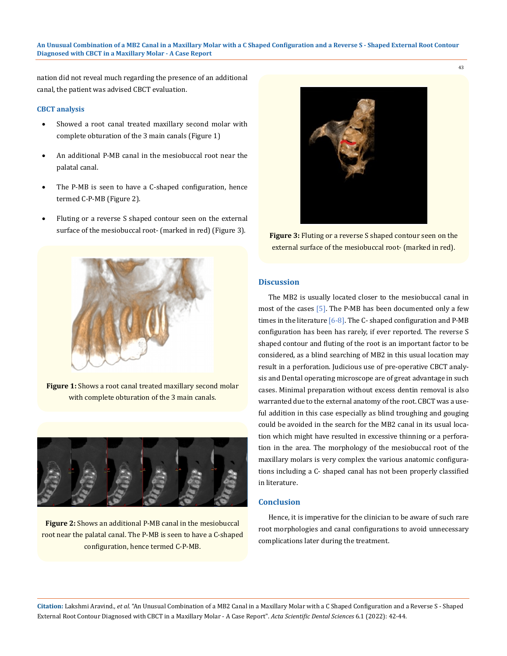#### **An Unusual Combination of a MB2 Canal in a Maxillary Molar with a C Shaped Configuration and a Reverse S - Shaped External Root Contour Diagnosed with CBCT in a Maxillary Molar - A Case Report**

nation did not reveal much regarding the presence of an additional canal, the patient was advised CBCT evaluation.

#### **CBCT analysis**

- Showed a root canal treated maxillary second molar with complete obturation of the 3 main canals (Figure 1)
- An additional P-MB canal in the mesiobuccal root near the palatal canal.
- The P-MB is seen to have a C-shaped configuration, hence termed C-P-MB (Figure 2).
- Fluting or a reverse S shaped contour seen on the external surface of the mesiobuccal root- (marked in red) (Figure 3).



**Figure 1:** Shows a root canal treated maxillary second molar with complete obturation of the 3 main canals.



**Figure 2:** Shows an additional P-MB canal in the mesiobuccal root near the palatal canal. The P-MB is seen to have a C-shaped configuration, hence termed C-P-MB.



**Figure 3:** Fluting or a reverse S shaped contour seen on the external surface of the mesiobuccal root- (marked in red).

## **Discussion**

The MB2 is usually located closer to the mesiobuccal canal in most of the cases [5]. The P-MB has been documented only a few times in the literature  $[6-8]$ . The C- shaped configuration and P-MB configuration has been has rarely, if ever reported. The reverse S shaped contour and fluting of the root is an important factor to be considered, as a blind searching of MB2 in this usual location may result in a perforation. Judicious use of pre-operative CBCT analysis and Dental operating microscope are of great advantage in such cases. Minimal preparation without excess dentin removal is also warranted due to the external anatomy of the root. CBCT was a useful addition in this case especially as blind troughing and gouging could be avoided in the search for the MB2 canal in its usual location which might have resulted in excessive thinning or a perforation in the area. The morphology of the mesiobuccal root of the maxillary molars is very complex the various anatomic configurations including a C- shaped canal has not been properly classified in literature.

#### **Conclusion**

Hence, it is imperative for the clinician to be aware of such rare root morphologies and canal configurations to avoid unnecessary complications later during the treatment.

**Citation:** Lakshmi Aravind*., et al.* "An Unusual Combination of a MB2 Canal in a Maxillary Molar with a C Shaped Configuration and a Reverse S - Shaped External Root Contour Diagnosed with CBCT in a Maxillary Molar - A Case Report". *Acta Scientific Dental Sciences* 6.1 (2022): 42-44.

43